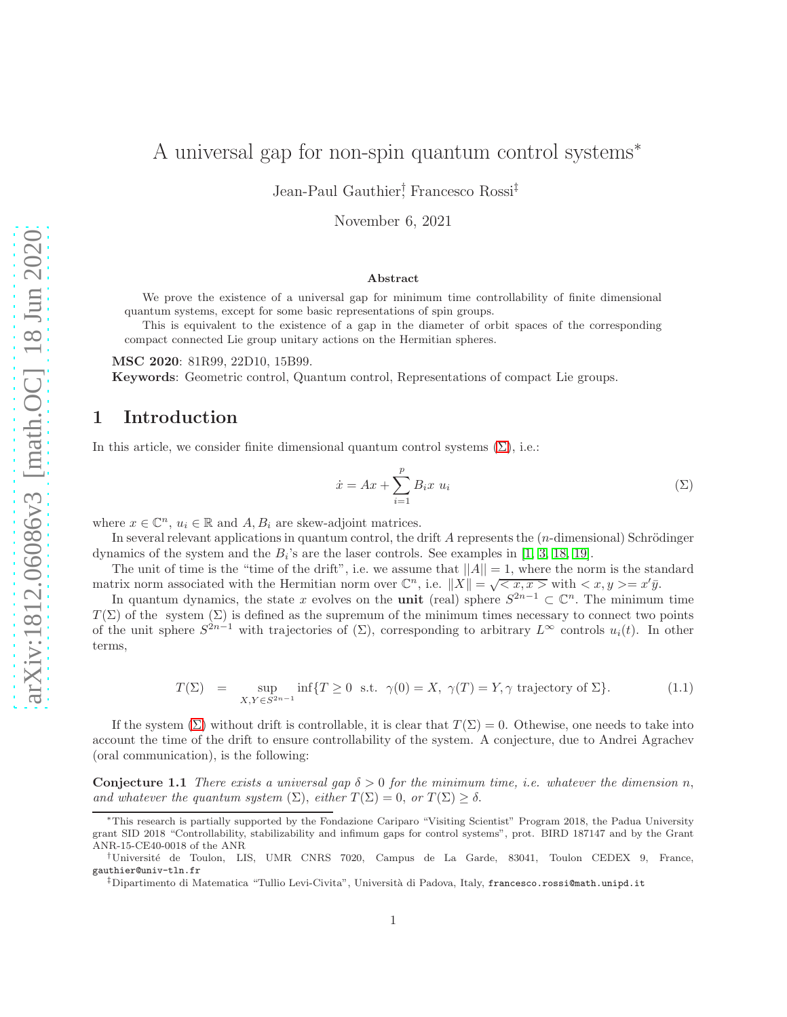# A universal gap for non-spin quantum control systems<sup>∗</sup>

Jean-Paul Gauthier† , Francesco Rossi‡

November 6, 2021

#### Abstract

We prove the existence of a universal gap for minimum time controllability of finite dimensional quantum systems, except for some basic representations of spin groups.

This is equivalent to the existence of a gap in the diameter of orbit spaces of the corresponding compact connected Lie group unitary actions on the Hermitian spheres.

MSC 2020: 81R99, 22D10, 15B99.

Keywords: Geometric control, Quantum control, Representations of compact Lie groups.

### 1 Introduction

In this article, we consider finite dimensional quantum control systems  $(\Sigma)$ , i.e.:

<span id="page-0-0"></span>
$$
\dot{x} = Ax + \sum_{i=1}^{p} B_i x u_i \tag{2}
$$

where  $x \in \mathbb{C}^n$ ,  $u_i \in \mathbb{R}$  and  $A, B_i$  are skew-adjoint matrices.

In several relevant applications in quantum control, the drift A represents the  $(n$ -dimensional) Schrödinger dynamics of the system and the  $B_i$ 's are the laser controls. See examples in [\[1,](#page-9-0) [3,](#page-9-1) [18,](#page-10-0) [19\]](#page-10-1).

The unit of time is the "time of the drift", i.e. we assume that  $||A|| = 1$ , where the norm is the standard matrix norm associated with the Hermitian norm over  $\mathbb{C}^n$ , i.e.  $||X|| = \sqrt{\langle x, x \rangle}$  with  $\langle x, y \rangle = x'\overline{y}$ .

In quantum dynamics, the state x evolves on the **unit** (real) sphere  $S^{2n-1} \subset \mathbb{C}^n$ . The minimum time  $T(\Sigma)$  of the system  $(\Sigma)$  is defined as the supremum of the minimum times necessary to connect two points of the unit sphere  $S^{2n-1}$  with trajectories of  $(\Sigma)$ , corresponding to arbitrary  $L^{\infty}$  controls  $u_i(t)$ . In other terms,

$$
T(\Sigma) = \sup_{X,Y \in S^{2n-1}} \inf \{ T \ge 0 \text{ s.t. } \gamma(0) = X, \ \gamma(T) = Y, \gamma \text{ trajectory of } \Sigma \}. \tag{1.1}
$$

If the system  $(\Sigma)$  without drift is controllable, it is clear that  $T(\Sigma) = 0$ . Othewise, one needs to take into account the time of the drift to ensure controllability of the system. A conjecture, due to Andrei Agrachev (oral communication), is the following:

<span id="page-0-1"></span>**Conjecture 1.1** There exists a universal gap  $\delta > 0$  for the minimum time, i.e. whatever the dimension n, and whatever the quantum system  $(\Sigma)$ , either  $T(\Sigma) = 0$ , or  $T(\Sigma) \ge \delta$ .

<sup>∗</sup>This research is partially supported by the Fondazione Cariparo "Visiting Scientist" Program 2018, the Padua University grant SID 2018 "Controllability, stabilizability and infimum gaps for control systems", prot. BIRD 187147 and by the Grant ANR-15-CE40-0018 of the ANR

<sup>†</sup>Universit´e de Toulon, LIS, UMR CNRS 7020, Campus de La Garde, 83041, Toulon CEDEX 9, France, gauthier@univ-tln.fr

<sup>‡</sup>Dipartimento di Matematica "Tullio Levi-Civita", Universit`a di Padova, Italy, francesco.rossi@math.unipd.it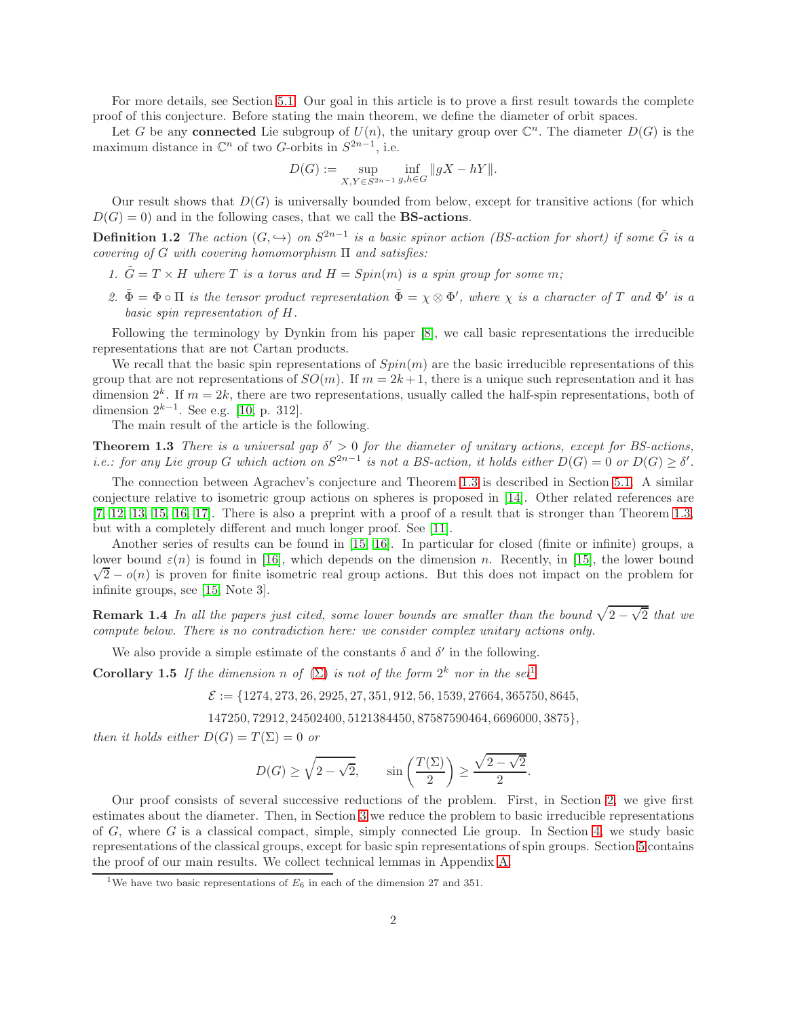For more details, see Section [5.1.](#page-6-0) Our goal in this article is to prove a first result towards the complete proof of this conjecture. Before stating the main theorem, we define the diameter of orbit spaces.

Let G be any **connected** Lie subgroup of  $U(n)$ , the unitary group over  $\mathbb{C}^n$ . The diameter  $D(G)$  is the maximum distance in  $\mathbb{C}^n$  of two *G*-orbits in  $S^{2n-1}$ , i.e.

$$
D(G) := \sup_{X, Y \in S^{2n-1}} \inf_{g, h \in G} \|gX - hY\|.
$$

Our result shows that  $D(G)$  is universally bounded from below, except for transitive actions (for which  $D(G) = 0$  and in the following cases, that we call the **BS-actions**.

**Definition 1.2** The action  $(G, \hookrightarrow)$  on  $S^{2n-1}$  is a basic spinor action (BS-action for short) if some  $\tilde{G}$  is a covering of G with covering homomorphism  $\Pi$  and satisfies:

- 1.  $\tilde{G} = T \times H$  where T is a torus and  $H = Spin(m)$  is a spin group for some m;
- 2.  $\tilde{\Phi} = \Phi \circ \Pi$  is the tensor product representation  $\tilde{\Phi} = \chi \otimes \Phi'$ , where  $\chi$  is a character of T and  $\Phi'$  is a basic spin representation of H.

Following the terminology by Dynkin from his paper [\[8\]](#page-9-2), we call basic representations the irreducible representations that are not Cartan products.

We recall that the basic spin representations of  $Spin(m)$  are the basic irreducible representations of this group that are not representations of  $SO(m)$ . If  $m = 2k + 1$ , there is a unique such representation and it has dimension  $2^k$ . If  $m = 2k$ , there are two representations, usually called the half-spin representations, both of dimension  $2^{k-1}$ . See e.g. [\[10,](#page-9-3) p. 312].

<span id="page-1-0"></span>The main result of the article is the following.

**Theorem 1.3** There is a universal gap  $\delta' > 0$  for the diameter of unitary actions, except for BS-actions, i.e.: for any Lie group G which action on  $S^{2n-1}$  is not a BS-action, it holds either  $D(G) = 0$  or  $D(G) \ge \delta'$ .

The connection between Agrachev's conjecture and Theorem [1.3](#page-1-0) is described in Section [5.1.](#page-6-0) A similar conjecture relative to isometric group actions on spheres is proposed in [\[14\]](#page-10-2). Other related references are [\[7,](#page-9-4) [12,](#page-10-3) [13,](#page-10-4) [15,](#page-10-5) [16,](#page-10-6) [17\]](#page-10-7). There is also a preprint with a proof of a result that is stronger than Theorem [1.3,](#page-1-0) but with a completely different and much longer proof. See [\[11\]](#page-10-8).

Another series of results can be found in [\[15,](#page-10-5) [16\]](#page-10-6). In particular for closed (finite or infinite) groups, a lower bound  $\varepsilon(n)$  is found in [\[16\]](#page-10-6), which depends on the dimension n. Recently, in [\[15\]](#page-10-5), the lower bound  $\sqrt{2} - o(n)$  is proven for finite isometric real group actions. But this does not impact on the problem for  $\sqrt{2} - o(n)$ infinite groups, see [\[15,](#page-10-5) Note 3].

**Remark 1.4** In all the papers just cited, some lower bounds are smaller than the bound  $\sqrt{2-\sqrt{2}}$  that we compute below. There is no contradiction here: we consider complex unitary actions only.

We also provide a simple estimate of the constants  $\delta$  and  $\delta'$  in the following.

**Corollary [1](#page-1-1).5** If the dimension n of  $(\Sigma)$  is not of the form  $2^k$  nor in the set<sup>1</sup>

 $\mathcal{E} := \{1274, 273, 26, 2925, 27, 351, 912, 56, 1539, 27664, 365750, 8645,$ 

147250, 72912, 24502400, 5121384450, 87587590464, 6696000, 3875},

then it holds either  $D(G) = T(\Sigma) = 0$  or

<span id="page-1-2"></span>
$$
D(G) \ge \sqrt{2 - \sqrt{2}}, \qquad \sin\left(\frac{T(\Sigma)}{2}\right) \ge \frac{\sqrt{2 - \sqrt{2}}}{2}.
$$

Our proof consists of several successive reductions of the problem. First, in Section [2,](#page-2-0) we give first estimates about the diameter. Then, in Section [3](#page-3-0) we reduce the problem to basic irreducible representations of G, where G is a classical compact, simple, simply connected Lie group. In Section [4,](#page-5-0) we study basic representations of the classical groups, except for basic spin representations of spin groups. Section [5](#page-6-1) contains the proof of our main results. We collect technical lemmas in Appendix [A.](#page-8-0)

<span id="page-1-1"></span><sup>&</sup>lt;sup>1</sup>We have two basic representations of  $E_6$  in each of the dimension 27 and 351.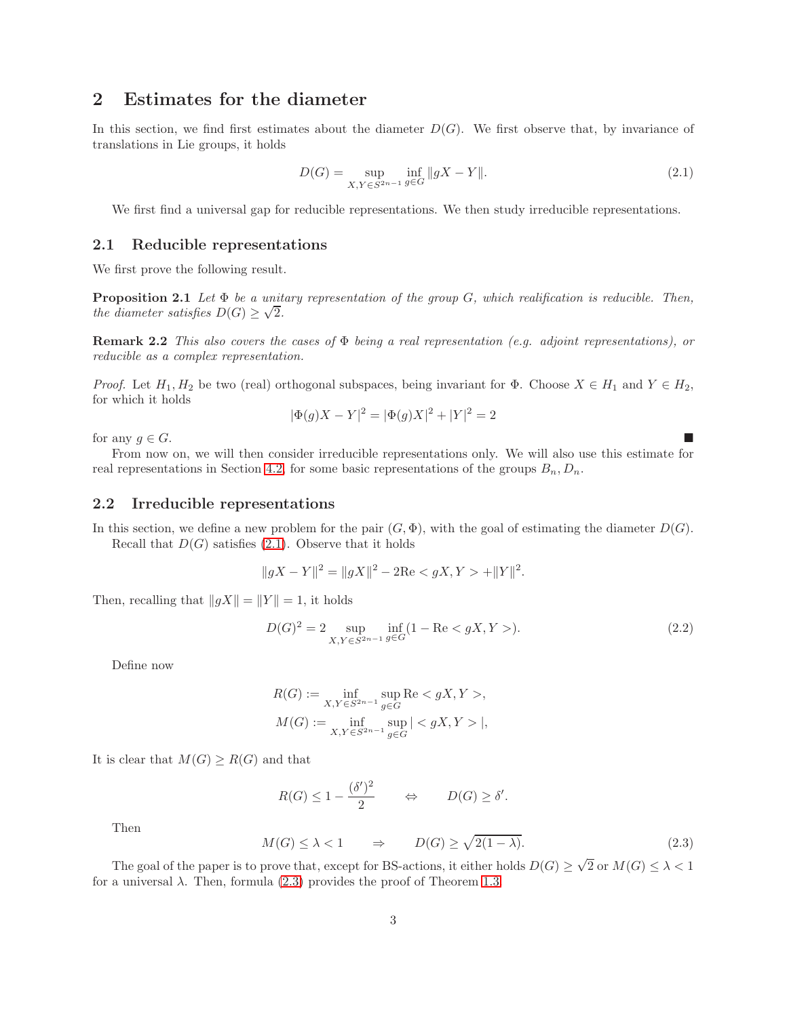# <span id="page-2-0"></span>2 Estimates for the diameter

In this section, we find first estimates about the diameter  $D(G)$ . We first observe that, by invariance of translations in Lie groups, it holds

<span id="page-2-1"></span>
$$
D(G) = \sup_{X, Y \in S^{2n-1}} \inf_{g \in G} \|gX - Y\|.
$$
\n(2.1)

We first find a universal gap for reducible representations. We then study irreducible representations.

#### 2.1 Reducible representations

<span id="page-2-3"></span>We first prove the following result.

**Proposition 2.1** Let  $\Phi$  be a unitary representation of the group G, which realification is reducible. Then, the diameter satisfies  $D(G) \geq \sqrt{2}$ .

**Remark 2.2** This also covers the cases of  $\Phi$  being a real representation (e.g. adjoint representations), or reducible as a complex representation.

*Proof.* Let  $H_1, H_2$  be two (real) orthogonal subspaces, being invariant for  $\Phi$ . Choose  $X \in H_1$  and  $Y \in H_2$ , for which it holds

$$
|\Phi(g)X - Y|^2 = |\Phi(g)X|^2 + |Y|^2 = 2
$$

for any  $g \in G$ . From now on, we will then consider irreducible representations only. We will also use this estimate for real representations in Section [4.2,](#page-6-2) for some basic representations of the groups  $B_n, D_n$ .

#### 2.2 Irreducible representations

In this section, we define a new problem for the pair  $(G, \Phi)$ , with the goal of estimating the diameter  $D(G)$ . Recall that  $D(G)$  satisfies [\(2.1\)](#page-2-1). Observe that it holds

$$
||gX - Y||2 = ||gX||2 - 2Re < gX, Y > + ||Y||2.
$$

Then, recalling that  $||gX|| = ||Y|| = 1$ , it holds

$$
D(G)^{2} = 2 \sup_{X,Y \in S^{2n-1}} \inf_{g \in G} (1 - \text{Re} \lt gX, Y >). \tag{2.2}
$$

Define now

$$
R(G) := \inf_{X, Y \in S^{2n-1}} \sup_{g \in G} \text{Re} < gX, Y >,
$$
\n
$$
M(G) := \inf_{X, Y \in S^{2n-1}} \sup_{g \in G} | < gX, Y > |,
$$

It is clear that  $M(G) \geq R(G)$  and that

$$
R(G) \le 1 - \frac{(\delta')^2}{2} \qquad \Leftrightarrow \qquad D(G) \ge \delta'.
$$

Then

<span id="page-2-2"></span>
$$
M(G) \le \lambda < 1 \qquad \Rightarrow \qquad D(G) \ge \sqrt{2(1-\lambda)}.\tag{2.3}
$$

The goal of the paper is to prove that, except for BS-actions, it either holds  $D(G) \geq \sqrt{2}$  or  $M(G) \leq \lambda < 1$ for a universal  $\lambda$ . Then, formula [\(2.3\)](#page-2-2) provides the proof of Theorem [1.3.](#page-1-0)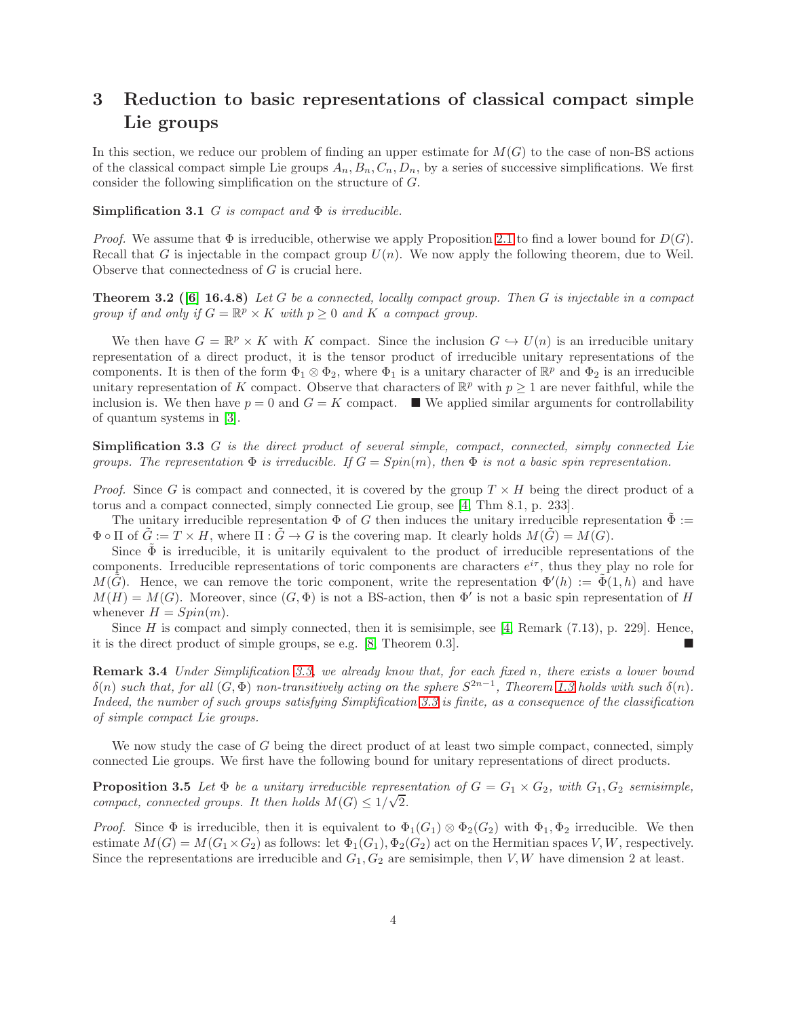# <span id="page-3-0"></span>3 Reduction to basic representations of classical compact simple Lie groups

In this section, we reduce our problem of finding an upper estimate for  $M(G)$  to the case of non-BS actions of the classical compact simple Lie groups  $A_n, B_n, C_n, D_n$ , by a series of successive simplifications. We first consider the following simplification on the structure of G.

#### Simplification 3.1  $G$  is compact and  $\Phi$  is irreducible.

*Proof.* We assume that  $\Phi$  is irreducible, otherwise we apply Proposition [2.1](#page-2-3) to find a lower bound for  $D(G)$ . Recall that G is injectable in the compact group  $U(n)$ . We now apply the following theorem, due to Weil. Observe that connectedness of  $G$  is crucial here.

**Theorem 3.2** ([\[6\]](#page-9-5) 16.4.8) Let G be a connected, locally compact group. Then G is injectable in a compact group if and only if  $G = \mathbb{R}^p \times K$  with  $p \geq 0$  and  $K$  a compact group.

We then have  $G = \mathbb{R}^p \times K$  with K compact. Since the inclusion  $G \hookrightarrow U(n)$  is an irreducible unitary representation of a direct product, it is the tensor product of irreducible unitary representations of the components. It is then of the form  $\Phi_1 \otimes \Phi_2$ , where  $\Phi_1$  is a unitary character of  $\mathbb{R}^p$  and  $\Phi_2$  is an irreducible unitary representation of K compact. Observe that characters of  $\mathbb{R}^p$  with  $p \ge 1$  are never faithful, while the inclusion is. We then have  $p = 0$  and  $G = K$  compact.  $\blacksquare$  We applied similar arguments for controllability of quantum systems in [\[3\]](#page-9-1).

<span id="page-3-1"></span>Simplification 3.3 G is the direct product of several simple, compact, connected, simply connected Lie groups. The representation  $\Phi$  is irreducible. If  $G = Spin(m)$ , then  $\Phi$  is not a basic spin representation.

*Proof.* Since G is compact and connected, it is covered by the group  $T \times H$  being the direct product of a torus and a compact connected, simply connected Lie group, see [\[4,](#page-9-6) Thm 8.1, p. 233].

The unitary irreducible representation  $\Phi$  of G then induces the unitary irreducible representation  $\tilde{\Phi}$  :=  $\Phi \circ \Pi$  of  $\tilde{G} := T \times H$ , where  $\Pi : \tilde{G} \to G$  is the covering map. It clearly holds  $M(\tilde{G}) = M(G)$ .

Since  $\Phi$  is irreducible, it is unitarily equivalent to the product of irreducible representations of the components. Irreducible representations of toric components are characters  $e^{i\tau}$ , thus they play no role for  $M(\tilde{G})$ . Hence, we can remove the toric component, write the representation  $\Phi'(h) := \tilde{\Phi}(1,h)$  and have  $M(H) = M(G)$ . Moreover, since  $(G, \Phi)$  is not a BS-action, then  $\Phi'$  is not a basic spin representation of H whenever  $H = Spin(m)$ .

Since  $H$  is compact and simply connected, then it is semisimple, see [\[4,](#page-9-6) Remark (7.13), p. 229]. Hence, it is the direct product of simple groups, se e.g. [\[8,](#page-9-2) Theorem 0.3].

Remark 3.4 Under Simplification [3.3,](#page-3-1) we already know that, for each fixed n, there exists a lower bound  $\delta(n)$  such that, for all  $(G, \Phi)$  non-transitively acting on the sphere  $S^{2n-1}$ , Theorem [1.3](#page-1-0) holds with such  $\delta(n)$ . Indeed, the number of such groups satisfying Simplification [3.3](#page-3-1) is finite, as a consequence of the classification of simple compact Lie groups.

<span id="page-3-2"></span>We now study the case of G being the direct product of at least two simple compact, connected, simply connected Lie groups. We first have the following bound for unitary representations of direct products.

**Proposition 3.5** Let  $\Phi$  be a unitary irreducible representation of  $G = G_1 \times G_2$ , with  $G_1, G_2$  semisimple, compact, connected groups. It then holds  $M(G) \leq 1/\sqrt{2}$ .

*Proof.* Since  $\Phi$  is irreducible, then it is equivalent to  $\Phi_1(G_1) \otimes \Phi_2(G_2)$  with  $\Phi_1, \Phi_2$  irreducible. We then estimate  $M(G) = M(G_1 \times G_2)$  as follows: let  $\Phi_1(G_1), \Phi_2(G_2)$  act on the Hermitian spaces V, W, respectively. Since the representations are irreducible and  $G_1, G_2$  are semisimple, then V, W have dimension 2 at least.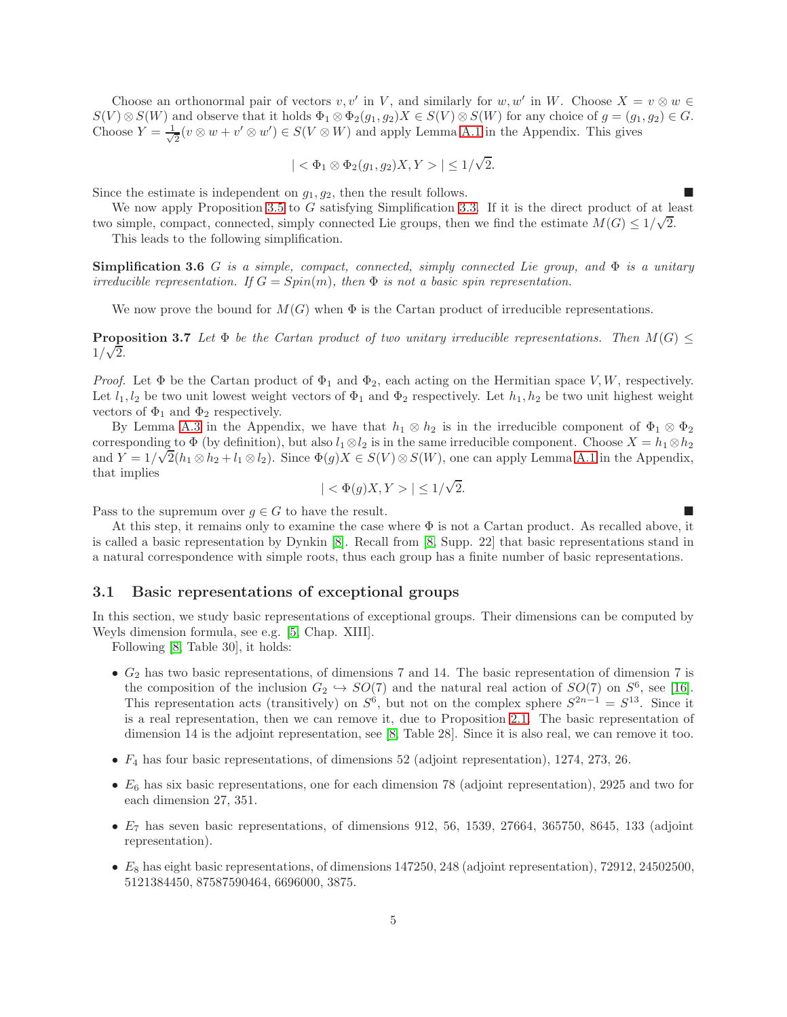Choose an orthonormal pair of vectors  $v, v'$  in V, and similarly for  $w, w'$  in W. Choose  $X = v \otimes w \in \mathbb{R}$  $S(V) \otimes S(W)$  and observe that it holds  $\Phi_1 \otimes \Phi_2(g_1, g_2)X \in S(V) \otimes S(W)$  for any choice of  $g = (g_1, g_2) \in G$ . Choose  $Y = \frac{1}{\sqrt{2}}$  $\frac{1}{2}(v \otimes w + v' \otimes w') \in S(V \otimes W)$  and apply Lemma [A.1](#page-8-1) in the Appendix. This gives

$$
|<\Phi_1\otimes\Phi_2(g_1,g_2)X,Y>|\leq 1/\sqrt{2}.
$$

Since the estimate is independent on  $q_1, q_2$ , then the result follows.

We now apply Proposition [3.5](#page-3-2) to G satisfying Simplification [3.3.](#page-3-1) If it is the direct product of at least two simple, compact, connected, simply connected Lie groups, then we find the estimate  $M(G) \leq 1/\sqrt{2}$ .

This leads to the following simplification.

**Simplification 3.6** G is a simple, compact, connected, simply connected Lie group, and  $\Phi$  is a unitary irreducible representation. If  $G = Spin(m)$ , then  $\Phi$  is not a basic spin representation.

<span id="page-4-0"></span>We now prove the bound for  $M(G)$  when  $\Phi$  is the Cartan product of irreducible representations.

**Proposition 3.7** Let  $\Phi$  be the Cartan product of two unitary irreducible representations. Then  $M(G) \leq$  $\frac{1}{\sqrt{2}}$ .

*Proof.* Let  $\Phi$  be the Cartan product of  $\Phi_1$  and  $\Phi_2$ , each acting on the Hermitian space V, W, respectively. Let  $l_1, l_2$  be two unit lowest weight vectors of  $\Phi_1$  and  $\Phi_2$  respectively. Let  $h_1, h_2$  be two unit highest weight vectors of  $\Phi_1$  and  $\Phi_2$  respectively.

By Lemma [A.3](#page-8-2) in the Appendix, we have that  $h_1 \otimes h_2$  is in the irreducible component of  $\Phi_1 \otimes \Phi_2$ corresponding to  $\Phi$  (by definition), but also  $l_1 \otimes l_2$  is in the same irreducible component. Choose  $X = h_1 \otimes h_2$ and  $Y = 1/\sqrt{2(h_1 \otimes h_2 + l_1 \otimes l_2)}$ . Since  $\Phi(g)X \in S(V) \otimes S(W)$ , one can apply Lemma [A.1](#page-8-1) in the Appendix, that implies

$$
|<\Phi(g)X, Y>| \leq 1/\sqrt{2}.
$$

Pass to the supremum over  $q \in G$  to have the result.

At this step, it remains only to examine the case where  $\Phi$  is not a Cartan product. As recalled above, it is called a basic representation by Dynkin [\[8\]](#page-9-2). Recall from [\[8,](#page-9-2) Supp. 22] that basic representations stand in a natural correspondence with simple roots, thus each group has a finite number of basic representations.

#### <span id="page-4-1"></span>3.1 Basic representations of exceptional groups

In this section, we study basic representations of exceptional groups. Their dimensions can be computed by Weyls dimension formula, see e.g. [\[5,](#page-9-7) Chap. XIII].

Following [\[8,](#page-9-2) Table 30], it holds:

- $G_2$  has two basic representations, of dimensions 7 and 14. The basic representation of dimension 7 is the composition of the inclusion  $G_2 \hookrightarrow SO(7)$  and the natural real action of  $SO(7)$  on  $S^6$ , see [\[16\]](#page-10-6). This representation acts (transitively) on  $S^6$ , but not on the complex sphere  $S^{2n-1} = S^{13}$ . Since it is a real representation, then we can remove it, due to Proposition [2.1.](#page-2-3) The basic representation of dimension 14 is the adjoint representation, see [\[8,](#page-9-2) Table 28]. Since it is also real, we can remove it too.
- F<sup>4</sup> has four basic representations, of dimensions 52 (adjoint representation), 1274, 273, 26.
- $E_6$  has six basic representations, one for each dimension 78 (adjoint representation), 2925 and two for each dimension 27, 351.
- $E_7$  has seven basic representations, of dimensions 912, 56, 1539, 27664, 365750, 8645, 133 (adjoint representation).
- $E_8$  has eight basic representations, of dimensions 147250, 248 (adjoint representation), 72912, 24502500, 5121384450, 87587590464, 6696000, 3875.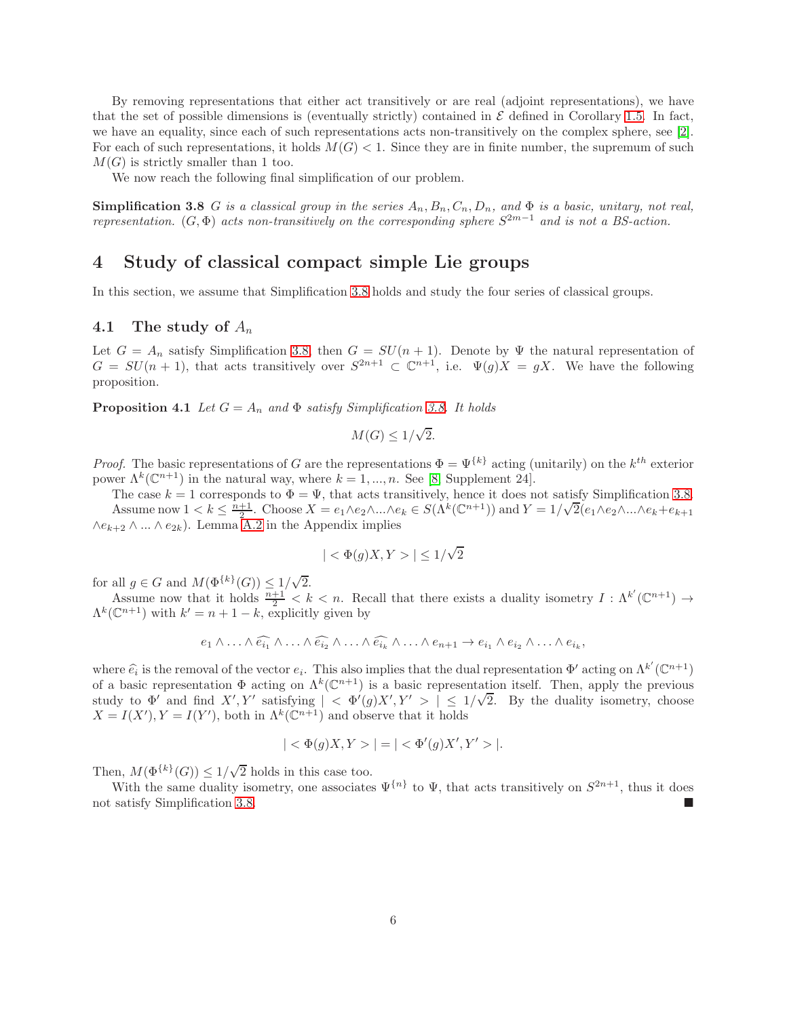By removing representations that either act transitively or are real (adjoint representations), we have that the set of possible dimensions is (eventually strictly) contained in  $\mathcal E$  defined in Corollary [1.5.](#page-1-2) In fact, we have an equality, since each of such representations acts non-transitively on the complex sphere, see [\[2\]](#page-9-8). For each of such representations, it holds  $M(G) < 1$ . Since they are in finite number, the supremum of such  $M(G)$  is strictly smaller than 1 too.

<span id="page-5-1"></span>We now reach the following final simplification of our problem.

**Simplification 3.8** G is a classical group in the series  $A_n, B_n, C_n, D_n$ , and  $\Phi$  is a basic, unitary, not real, representation.  $(G, \Phi)$  acts non-transitively on the corresponding sphere  $S^{2m-1}$  and is not a BS-action.

# <span id="page-5-0"></span>4 Study of classical compact simple Lie groups

In this section, we assume that Simplification [3.8](#page-5-1) holds and study the four series of classical groups.

## <span id="page-5-2"></span>4.1 The study of  $A_n$

Let  $G = A_n$  satisfy Simplification [3.8,](#page-5-1) then  $G = SU(n + 1)$ . Denote by  $\Psi$  the natural representation of  $G = SU(n + 1)$ , that acts transitively over  $S^{2n+1} \subset \mathbb{C}^{n+1}$ , i.e.  $\Psi(g)X = gX$ . We have the following proposition.

**Proposition 4.1** Let  $G = A_n$  and  $\Phi$  satisfy Simplification [3.8.](#page-5-1) It holds

$$
M(G) \le 1/\sqrt{2}.
$$

*Proof.* The basic representations of G are the representations  $\Phi = \Psi^{\{k\}}$  acting (unitarily) on the  $k^{th}$  exterior power  $\Lambda^k(\mathbb{C}^{n+1})$  in the natural way, where  $k = 1, ..., n$ . See [\[8,](#page-9-2) Supplement 24].

The case  $k = 1$  corresponds to  $\Phi = \Psi$ , that acts transitively, hence it does not satisfy Simplification [3.8.](#page-5-1) Assume now  $1 < k \leq \frac{n+1}{2}$ . Choose  $X = e_1 \wedge e_2 \wedge ... \wedge e_k \in S(\Lambda^k(\mathbb{C}^{n+1}))$  and  $Y = 1/\sqrt{2}(e_1 \wedge e_2 \wedge ... \wedge e_k + e_{k+1})$  $\wedge e_{k+2} \wedge ... \wedge e_{2k}$ . Lemma [A.2](#page-8-3) in the Appendix implies

$$
|<\Phi(g)X,Y>|\leq1/\sqrt{2}
$$

for all  $g \in G$  and  $M(\Phi^{\{k\}}(G)) \leq 1/\sqrt{2}$ .

Assume now that it holds  $\frac{n+1}{2} < k < n$ . Recall that there exists a duality isometry  $I : \Lambda^{k'}(\mathbb{C}^{n+1}) \to$  $\Lambda^k(\mathbb{C}^{n+1})$  with  $k' = n + 1 - k$ , explicitly given by

$$
e_1 \wedge \ldots \wedge \widehat{e_{i_1}} \wedge \ldots \wedge \widehat{e_{i_2}} \wedge \ldots \wedge \widehat{e_{i_k}} \wedge \ldots \wedge e_{n+1} \rightarrow e_{i_1} \wedge e_{i_2} \wedge \ldots \wedge e_{i_k},
$$

where  $\hat{e}_i$  is the removal of the vector  $e_i$ . This also implies that the dual representation  $\Phi'$  acting on  $\Lambda^{k'}(\mathbb{C}^{n+1})$ of a basic representation  $\Phi$  acting on  $\Lambda^k(\mathbb{C}^{n+1})$  is a basic representation itself. Then, apply the previous study to  $\Phi'$  and find  $X', Y'$  satisfying  $| < \Phi'(g)X', Y' > | \leq 1/\sqrt{2}$ . By the duality isometry, choose  $X = I(X')$ ,  $Y = I(Y')$ , both in  $\Lambda^k(\mathbb{C}^{n+1})$  and observe that it holds

$$
| < \Phi(g)X, Y > | = | < \Phi'(g)X', Y' > |.
$$

Then,  $M(\Phi^{\{k\}}(G)) \leq 1/\sqrt{2}$  holds in this case too.

With the same duality isometry, one associates  $\Psi^{\{n\}}$  to  $\Psi$ , that acts transitively on  $S^{2n+1}$ , thus it does not satisfy Simplification [3.8.](#page-5-1)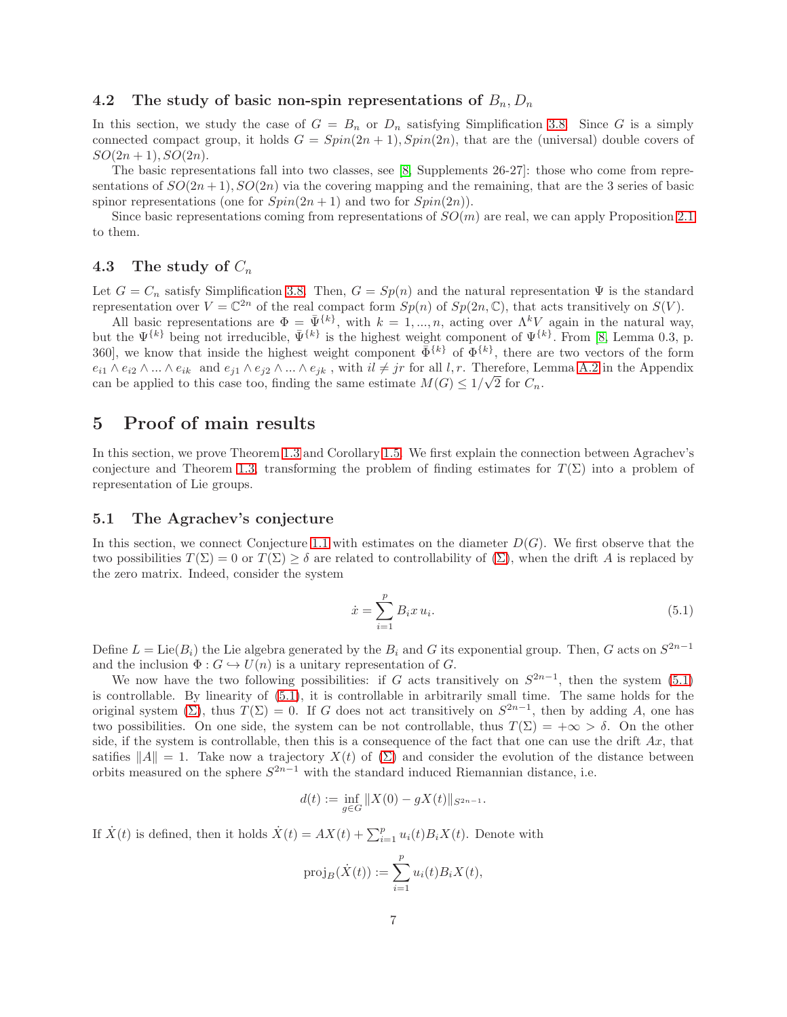#### <span id="page-6-2"></span>4.2 The study of basic non-spin representations of  $B_n, D_n$

In this section, we study the case of  $G = B_n$  or  $D_n$  satisfying Simplification [3.8.](#page-5-1) Since G is a simply connected compact group, it holds  $G = Spin(2n + 1), Spin(2n)$ , that are the (universal) double covers of  $SO(2n+1), SO(2n).$ 

The basic representations fall into two classes, see [\[8,](#page-9-2) Supplements 26-27]: those who come from representations of  $SO(2n+1)$ ,  $SO(2n)$  via the covering mapping and the remaining, that are the 3 series of basic spinor representations (one for  $Spin(2n+1)$  and two for  $Spin(2n)$ ).

Since basic representations coming from representations of  $SO(m)$  are real, we can apply Proposition [2.1](#page-2-3) to them.

#### <span id="page-6-4"></span>4.3 The study of  $C_n$

Let  $G = C_n$  satisfy Simplification [3.8.](#page-5-1) Then,  $G = Sp(n)$  and the natural representation  $\Psi$  is the standard representation over  $V = \mathbb{C}^{2n}$  of the real compact form  $Sp(n)$  of  $Sp(2n, \mathbb{C})$ , that acts transitively on  $S(V)$ .

All basic representations are  $\Phi = \bar{\Psi}^{\{k\}}$ , with  $k = 1, ..., n$ , acting over  $\Lambda^k V$  again in the natural way, but the  $\Psi^{\{k\}}$  being not irreducible,  $\bar{\Psi}^{\{k\}}$  is the highest weight component of  $\Psi^{\{k\}}$ . From [\[8,](#page-9-2) Lemma 0.3, p. 360], we know that inside the highest weight component  $\bar{\Phi}^{\{k\}}$  of  $\Phi^{\{k\}}$ , there are two vectors of the form  $e_{i1} \wedge e_{i2} \wedge ... \wedge e_{ik}$  and  $e_{i1} \wedge e_{i2} \wedge ... \wedge e_{ik}$ , with  $il \neq jr$  for all l, r. Therefore, Lemma [A.2](#page-8-3) in the Appendix can be applied to this case too, finding the same estimate  $M(G) \leq 1/\sqrt{2}$  for  $C_n$ .

# <span id="page-6-1"></span>5 Proof of main results

In this section, we prove Theorem [1.3](#page-1-0) and Corollary [1.5.](#page-1-2) We first explain the connection between Agrachev's conjecture and Theorem [1.3,](#page-1-0) transforming the problem of finding estimates for  $T(\Sigma)$  into a problem of representation of Lie groups.

#### <span id="page-6-0"></span>5.1 The Agrachev's conjecture

In this section, we connect Conjecture [1.1](#page-0-1) with estimates on the diameter  $D(G)$ . We first observe that the two possibilities  $T(\Sigma) = 0$  or  $T(\Sigma) \ge \delta$  are related to controllability of  $(\Sigma)$ , when the drift A is replaced by the zero matrix. Indeed, consider the system

<span id="page-6-3"></span>
$$
\dot{x} = \sum_{i=1}^{p} B_i x u_i.
$$
\n(5.1)

Define  $L = \text{Lie}(B_i)$  the Lie algebra generated by the  $B_i$  and G its exponential group. Then, G acts on  $S^{2n-1}$ and the inclusion  $\Phi: G \hookrightarrow U(n)$  is a unitary representation of G.

We now have the two following possibilities: if G acts transitively on  $S^{2n-1}$ , then the system [\(5.1\)](#page-6-3) is controllable. By linearity of [\(5.1\)](#page-6-3), it is controllable in arbitrarily small time. The same holds for the original system  $(\Sigma)$ , thus  $T(\Sigma) = 0$ . If G does not act transitively on  $S^{2n-1}$ , then by adding A, one has two possibilities. On one side, the system can be not controllable, thus  $T(\Sigma) = +\infty > \delta$ . On the other side, if the system is controllable, then this is a consequence of the fact that one can use the drift  $Ax$ , that satifies  $||A|| = 1$ . Take now a trajectory  $X(t)$  of  $(\Sigma)$  and consider the evolution of the distance between orbits measured on the sphere  $S^{2n-1}$  with the standard induced Riemannian distance, i.e.

$$
d(t) := \inf_{g \in G} \|X(0) - gX(t)\|_{S^{2n-1}}.
$$

If  $\dot{X}(t)$  is defined, then it holds  $\dot{X}(t) = AX(t) + \sum_{i=1}^{p} u_i(t)B_iX(t)$ . Denote with

$$
\text{proj}_B(\dot{X}(t)) := \sum_{i=1}^p u_i(t) B_i X(t),
$$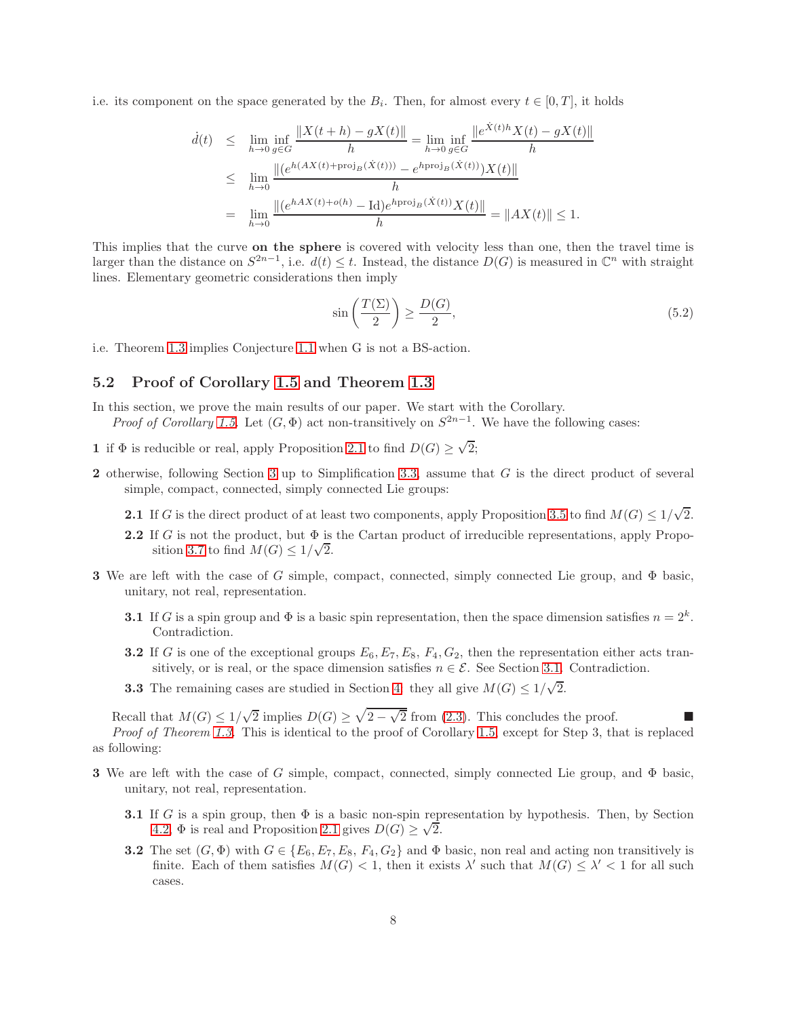i.e. its component on the space generated by the  $B_i$ . Then, for almost every  $t \in [0, T]$ , it holds

$$
\dot{d}(t) \leq \lim_{h \to 0} \inf_{g \in G} \frac{\|X(t+h) - gX(t)\|}{h} = \lim_{h \to 0} \inf_{g \in G} \frac{\|e^{\dot{X}(t)h}X(t) - gX(t)\|}{h}
$$
\n
$$
\leq \lim_{h \to 0} \frac{\|(e^{h(A X(t) + \text{proj}_B(\dot{X}(t)))} - e^{h \text{proj}_B(\dot{X}(t))})X(t)\|}{h}
$$
\n
$$
= \lim_{h \to 0} \frac{\|(e^{h(A X(t) + o(h)} - \text{Id})e^{h \text{proj}_B(\dot{X}(t))}X(t)\|}{h} = \|AX(t)\| \leq 1.
$$

This implies that the curve on the sphere is covered with velocity less than one, then the travel time is larger than the distance on  $S^{2n-1}$ , i.e.  $d(t) \leq t$ . Instead, the distance  $D(G)$  is measured in  $\mathbb{C}^n$  with straight lines. Elementary geometric considerations then imply

$$
\sin\left(\frac{T(\Sigma)}{2}\right) \ge \frac{D(G)}{2},\tag{5.2}
$$

i.e. Theorem [1.3](#page-1-0) implies Conjecture [1.1](#page-0-1) when G is not a BS-action.

#### 5.2 Proof of Corollary [1.5](#page-1-2) and Theorem [1.3](#page-1-0)

- In this section, we prove the main results of our paper. We start with the Corollary. *Proof of Corollary [1.5.](#page-1-2)* Let  $(G, \Phi)$  act non-transitively on  $S^{2n-1}$ . We have the following cases:
- **1** if  $\Phi$  is reducible or real, apply Proposition [2.1](#page-2-3) to find  $D(G) \ge \sqrt{2}$ ;
- 2 otherwise, following Section [3](#page-3-0) up to Simplification [3.3,](#page-3-1) assume that G is the direct product of several simple, compact, connected, simply connected Lie groups:
	- **2.1** If G is the direct product of at least two components, apply Proposition [3.5](#page-3-2) to find  $M(G) \leq 1/\sqrt{2}$ .
	- 2.2 If G is not the product, but  $\Phi$  is the Cartan product of irreducible representations, apply Propo-sition [3.7](#page-4-0) to find  $M(G) \leq 1/\sqrt{2}$ .
- **3** We are left with the case of G simple, compact, connected, simply connected Lie group, and  $\Phi$  basic, unitary, not real, representation.
	- **3.1** If G is a spin group and  $\Phi$  is a basic spin representation, then the space dimension satisfies  $n = 2<sup>k</sup>$ . Contradiction.
	- 3.2 If G is one of the exceptional groups  $E_6, E_7, E_8, F_4, G_2$ , then the representation either acts transitively, or is real, or the space dimension satisfies  $n \in \mathcal{E}$ . See Section [3.1.](#page-4-1) Contradiction.
	- **3.3** The remaining cases are studied in Section [4:](#page-5-0) they all give  $M(G) \leq 1/\sqrt{2}$ .

Recall that  $M(G) \leq 1/\sqrt{2}$  implies  $D(G) \geq \sqrt{2-\sqrt{2}}$  from [\(2.3\)](#page-2-2). This concludes the proof. Proof of Theorem [1.3.](#page-1-0) This is identical to the proof of Corollary [1.5,](#page-1-2) except for Step 3, that is replaced

as following:

- **3** We are left with the case of G simple, compact, connected, simply connected Lie group, and  $\Phi$  basic, unitary, not real, representation.
	- 3.1 If G is a spin group, then  $\Phi$  is a basic non-spin representation by hypothesis. Then, by Section [4.2,](#page-6-2)  $\Phi$  is real and Proposition [2.1](#page-2-3) gives  $D(G) \geq \sqrt{2}$ .
	- **3.2** The set  $(G, \Phi)$  with  $G \in \{E_6, E_7, E_8, F_4, G_2\}$  and  $\Phi$  basic, non real and acting non transitively is finite. Each of them satisfies  $M(G) < 1$ , then it exists  $\lambda'$  such that  $M(G) \leq \lambda' < 1$  for all such cases.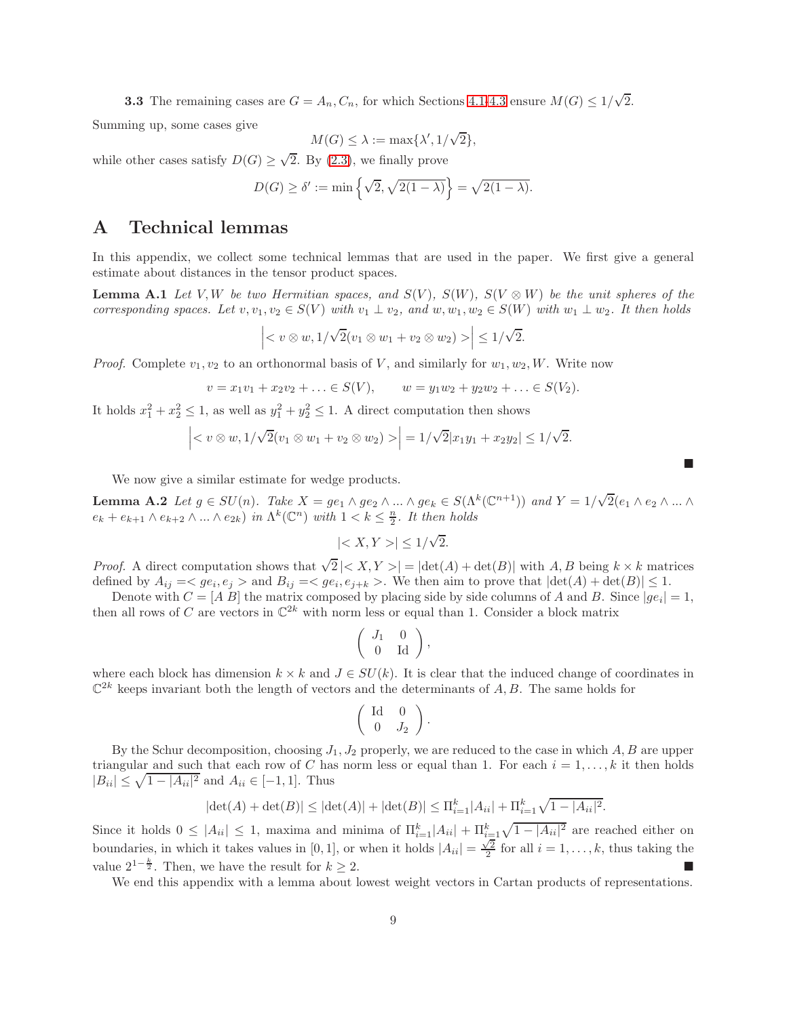**3.3** The remaining cases are  $G = A_n, C_n$ , for which Sections [4.1-](#page-5-2)[4.3](#page-6-4) ensure  $M(G) \leq 1/\sqrt{2}$ . Summing up, some cases give

$$
M(G) \le \lambda := \max\{\lambda', 1/\sqrt{2}\},\
$$

while other cases satisfy  $D(G) \geq \sqrt{2}$ . By [\(2.3\)](#page-2-2), we finally prove

$$
D(G) \ge \delta' := \min\left\{\sqrt{2}, \sqrt{2(1-\lambda)}\right\} = \sqrt{2(1-\lambda)}.
$$

# <span id="page-8-0"></span>A Technical lemmas

In this appendix, we collect some technical lemmas that are used in the paper. We first give a general estimate about distances in the tensor product spaces.

**Lemma A.1** Let V, W be two Hermitian spaces, and  $S(V)$ ,  $S(W)$ ,  $S(V \otimes W)$  be the unit spheres of the corresponding spaces. Let  $v, v_1, v_2 \in S(V)$  with  $v_1 \perp v_2$ , and  $w, w_1, w_2 \in S(W)$  with  $w_1 \perp w_2$ . It then holds

<span id="page-8-1"></span>
$$
\left|< v\otimes w, 1/\sqrt{2}(v_1\otimes w_1+v_2\otimes w_2)>\right|\leq 1/\sqrt{2}.
$$

*Proof.* Complete  $v_1, v_2$  to an orthonormal basis of V, and similarly for  $w_1, w_2, W$ . Write now

$$
v = x_1v_1 + x_2v_2 + \ldots \in S(V)
$$
,  $w = y_1w_2 + y_2w_2 + \ldots \in S(V_2)$ .

It holds  $x_1^2 + x_2^2 \le 1$ , as well as  $y_1^2 + y_2^2 \le 1$ . A direct computation then shows

$$
\left|< v \otimes w, \frac{1}{\sqrt{2}}(v_1 \otimes w_1 + v_2 \otimes w_2) > \right| = \frac{1}{\sqrt{2}}|x_1y_1 + x_2y_2| \leq \frac{1}{\sqrt{2}}.
$$

We now give a similar estimate for wedge products.

**Lemma A.2** Let  $g \in SU(n)$ . Take  $X = ge_1 \wedge ge_2 \wedge ... \wedge ge_k \in S(\Lambda^k(\mathbb{C}^{n+1}))$  and  $Y = 1/\sqrt{2}(e_1 \wedge e_2 \wedge ... \wedge e_k)$  $e_k + e_{k+1} \wedge e_{k+2} \wedge ... \wedge e_{2k}$  in  $\Lambda^k(\mathbb{C}^n)$  with  $1 < k \leq \frac{n}{2}$ . It then holds

 $\blacksquare$ 

<span id="page-8-3"></span>
$$
\left|\right|\leq1/\sqrt{2}.
$$

*Proof.* A direct computation shows that  $\sqrt{2}$  | < X, Y >| = |det(A) + det(B)| with A, B being  $k \times k$  matrices defined by  $A_{ij} = \langle ge_i, e_j \rangle$  and  $B_{ij} = \langle ge_i, e_{j+k} \rangle$ . We then aim to prove that  $|\text{det}(A) + \text{det}(B)| \leq 1$ .

Denote with  $C = [A \ B]$  the matrix composed by placing side by side columns of A and B. Since  $|ge_i| = 1$ , then all rows of C are vectors in  $\mathbb{C}^{2k}$  with norm less or equal than 1. Consider a block matrix

$$
\left(\begin{array}{cc}J_1&0\\0&\operatorname{Id}\end{array}\right),
$$

where each block has dimension  $k \times k$  and  $J \in SU(k)$ . It is clear that the induced change of coordinates in  $\mathbb{C}^{2k}$  keeps invariant both the length of vectors and the determinants of A, B. The same holds for

<span id="page-8-2"></span>
$$
\left(\begin{array}{cc} \text{Id} & 0 \\ 0 & J_2 \end{array}\right).
$$

By the Schur decomposition, choosing  $J_1, J_2$  properly, we are reduced to the case in which A, B are upper triangular and such that each row of C has norm less or equal than 1. For each  $i = 1, ..., k$  it then holds  $|B_{ii}| \leq \sqrt{1 - |A_{ii}|^2}$  and  $A_{ii} \in [-1, 1]$ . Thus

$$
|\det(A) + \det(B)| \leq |\det(A)| + |\det(B)| \leq \prod_{i=1}^{k} |A_{ii}| + \prod_{i=1}^{k} \sqrt{1 - |A_{ii}|^2}.
$$

Since it holds  $0 \leq |A_{ii}| \leq 1$ , maxima and minima of  $\prod_{i=1}^k |A_{ii}| + \prod_{i=1}^k \sqrt{1-|A_{ii}|^2}$  are reached either on boundaries, in which it takes values in [0, 1], or when it holds  $|A_{ii}| = \frac{\sqrt{2}}{2}$  for all  $i = 1, ..., k$ , thus taking the value  $2^{1-\frac{k}{2}}$ . Then, we have the result for  $k \ge 2$ .

We end this appendix with a lemma about lowest weight vectors in Cartan products of representations.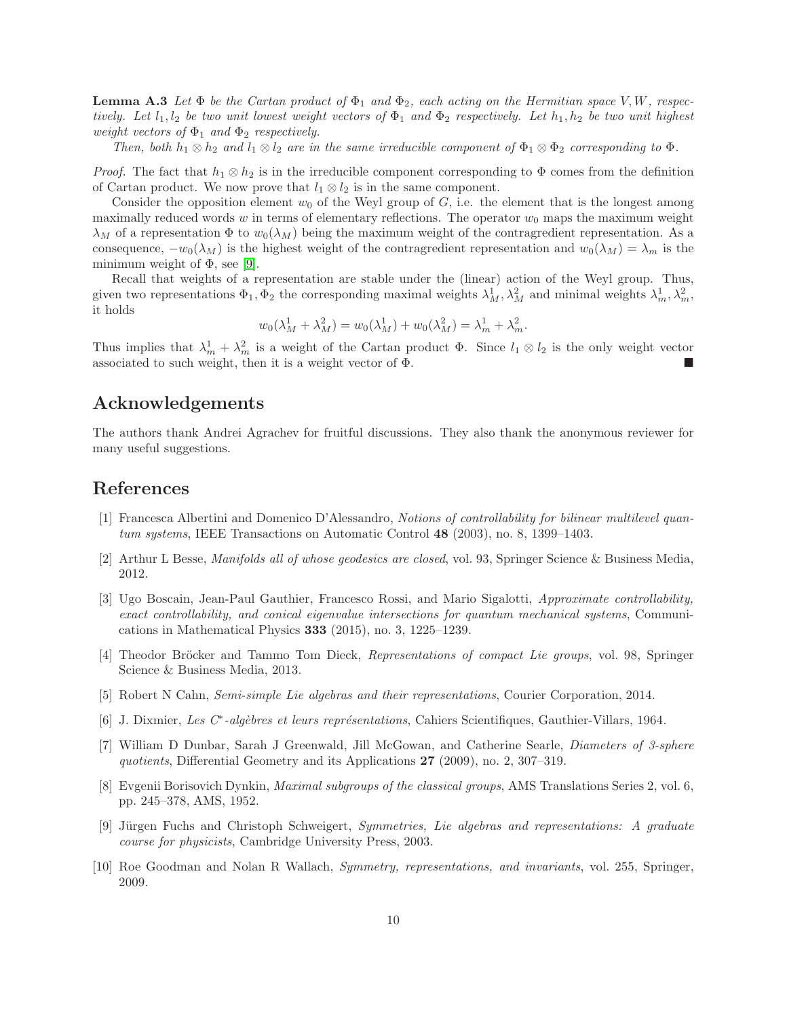**Lemma A.3** Let  $\Phi$  be the Cartan product of  $\Phi_1$  and  $\Phi_2$ , each acting on the Hermitian space V, W, respectively. Let  $l_1, l_2$  be two unit lowest weight vectors of  $\Phi_1$  and  $\Phi_2$  respectively. Let  $h_1, h_2$  be two unit highest weight vectors of  $\Phi_1$  and  $\Phi_2$  respectively.

Then, both  $h_1 \otimes h_2$  and  $l_1 \otimes l_2$  are in the same irreducible component of  $\Phi_1 \otimes \Phi_2$  corresponding to  $\Phi$ .

*Proof.* The fact that  $h_1 \otimes h_2$  is in the irreducible component corresponding to  $\Phi$  comes from the definition of Cartan product. We now prove that  $l_1 \otimes l_2$  is in the same component.

Consider the opposition element  $w_0$  of the Weyl group of G, i.e. the element that is the longest among maximally reduced words w in terms of elementary reflections. The operator  $w_0$  maps the maximum weight  $\lambda_M$  of a representation  $\Phi$  to  $w_0(\lambda_M)$  being the maximum weight of the contragredient representation. As a consequence,  $-w_0(\lambda_M)$  is the highest weight of the contragredient representation and  $w_0(\lambda_M) = \lambda_m$  is the minimum weight of  $\Phi$ , see [\[9\]](#page-9-9).

Recall that weights of a representation are stable under the (linear) action of the Weyl group. Thus, given two representations  $\Phi_1, \Phi_2$  the corresponding maximal weights  $\lambda_M^1, \lambda_M^2$  and minimal weights  $\lambda_m^1, \lambda_m^2$ , it holds

$$
w_0(\lambda_M^1 + \lambda_M^2) = w_0(\lambda_M^1) + w_0(\lambda_M^2) = \lambda_m^1 + \lambda_m^2.
$$

Thus implies that  $\lambda_m^1 + \lambda_m^2$  is a weight of the Cartan product  $\Phi$ . Since  $l_1 \otimes l_2$  is the only weight vector associated to such weight, then it is a weight vector of Φ.

# Acknowledgements

The authors thank Andrei Agrachev for fruitful discussions. They also thank the anonymous reviewer for many useful suggestions.

## <span id="page-9-0"></span>References

- [1] Francesca Albertini and Domenico D'Alessandro, Notions of controllability for bilinear multilevel quantum systems, IEEE Transactions on Automatic Control 48 (2003), no. 8, 1399–1403.
- <span id="page-9-8"></span><span id="page-9-1"></span>[2] Arthur L Besse, Manifolds all of whose geodesics are closed, vol. 93, Springer Science & Business Media, 2012.
- [3] Ugo Boscain, Jean-Paul Gauthier, Francesco Rossi, and Mario Sigalotti, Approximate controllability, exact controllability, and conical eigenvalue intersections for quantum mechanical systems, Communications in Mathematical Physics 333 (2015), no. 3, 1225–1239.
- <span id="page-9-6"></span>[4] Theodor Bröcker and Tammo Tom Dieck, Representations of compact Lie groups, vol. 98, Springer Science & Business Media, 2013.
- <span id="page-9-7"></span><span id="page-9-5"></span>[5] Robert N Cahn, Semi-simple Lie algebras and their representations, Courier Corporation, 2014.
- <span id="page-9-4"></span>[6] J. Dixmier, Les C<sup>∗</sup>-algèbres et leurs représentations, Cahiers Scientifiques, Gauthier-Villars, 1964.
- [7] William D Dunbar, Sarah J Greenwald, Jill McGowan, and Catherine Searle, Diameters of 3-sphere quotients, Differential Geometry and its Applications 27 (2009), no. 2, 307–319.
- <span id="page-9-2"></span>[8] Evgenii Borisovich Dynkin, Maximal subgroups of the classical groups, AMS Translations Series 2, vol. 6, pp. 245–378, AMS, 1952.
- <span id="page-9-9"></span>[9] Jürgen Fuchs and Christoph Schweigert, Symmetries, Lie algebras and representations: A graduate course for physicists, Cambridge University Press, 2003.
- <span id="page-9-3"></span>[10] Roe Goodman and Nolan R Wallach, Symmetry, representations, and invariants, vol. 255, Springer, 2009.